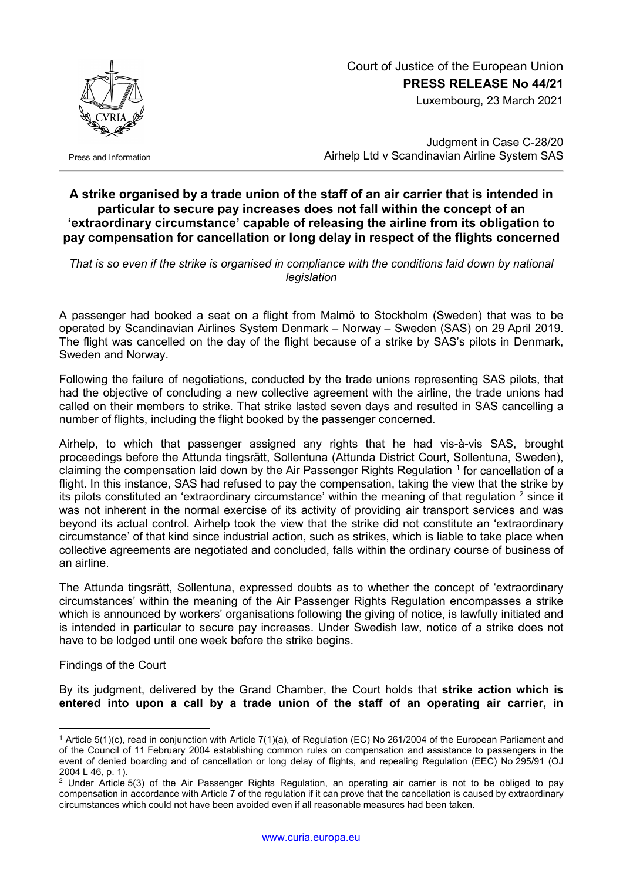

Luxembourg, 23 March 2021



Press and Information

Judgment in Case C-28/20 Airhelp Ltd v Scandinavian Airline System SAS

## **A strike organised by a trade union of the staff of an air carrier that is intended in particular to secure pay increases does not fall within the concept of an 'extraordinary circumstance' capable of releasing the airline from its obligation to pay compensation for cancellation or long delay in respect of the flights concerned**

That is so even if the strike is organised in compliance with the conditions laid down by national *legislation*

A passenger had booked a seat on a flight from Malmö to Stockholm (Sweden) that was to be operated by Scandinavian Airlines System Denmark – Norway – Sweden (SAS) on 29 April 2019. The flight was cancelled on the day of the flight because of a strike by SAS's pilots in Denmark, Sweden and Norway.

Following the failure of negotiations, conducted by the trade unions representing SAS pilots, that had the objective of concluding a new collective agreement with the airline, the trade unions had called on their members to strike. That strike lasted seven days and resulted in SAS cancelling a number of flights, including the flight booked by the passenger concerned.

Airhelp, to which that passenger assigned any rights that he had vis-à-vis SAS, brought proceedings before the Attunda tingsrätt, Sollentuna (Attunda District Court, Sollentuna, Sweden), claiming the compensation laid down by the Air Passenger Rights Regulation <sup>[1](#page-0-0)</sup> for cancellation of a flight. In this instance, SAS had refused to pay the compensation, taking the view that the strike by its pilots constituted an 'extraordinary circumstance' within the meaning of that regulation  $2$  since it was not inherent in the normal exercise of its activity of providing air transport services and was beyond its actual control. Airhelp took the view that the strike did not constitute an 'extraordinary circumstance' of that kind since industrial action, such as strikes, which is liable to take place when collective agreements are negotiated and concluded, falls within the ordinary course of business of an airline.

The Attunda tingsrätt, Sollentuna, expressed doubts as to whether the concept of 'extraordinary circumstances' within the meaning of the Air Passenger Rights Regulation encompasses a strike which is announced by workers' organisations following the giving of notice, is lawfully initiated and is intended in particular to secure pay increases. Under Swedish law, notice of a strike does not have to be lodged until one week before the strike begins.

Findings of the Court

<u>.</u>

By its judgment, delivered by the Grand Chamber, the Court holds that **strike action which is entered into upon a call by a trade union of the staff of an operating air carrier, in** 

<span id="page-0-0"></span><sup>1</sup> Article 5(1)(c), read in conjunction with Article 7(1)(a), of Regulation (EC) No 261/2004 of the European Parliament and of the Council of 11 February 2004 establishing common rules on compensation and assistance to passengers in the event of denied boarding and of cancellation or long delay of flights, and repealing Regulation (EEC) No 295/91 (OJ 2004 L 46, p. 1).

<span id="page-0-1"></span><sup>&</sup>lt;sup>2</sup> Under Article 5(3) of the Air Passenger Rights Regulation, an operating air carrier is not to be obliged to pay compensation in accordance with Article 7 of the regulation if it can prove that the cancellation is caused by extraordinary circumstances which could not have been avoided even if all reasonable measures had been taken.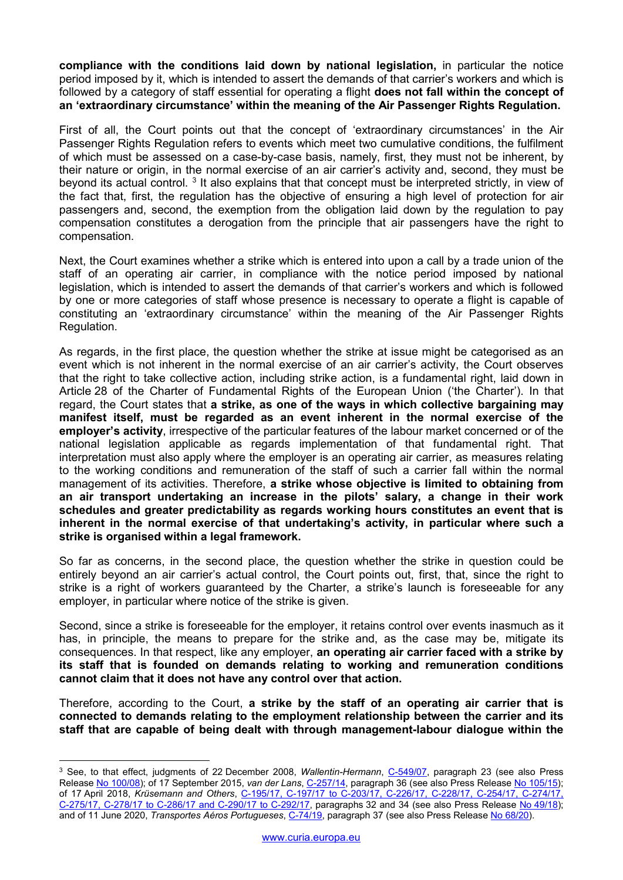**compliance with the conditions laid down by national legislation,** in particular the notice period imposed by it, which is intended to assert the demands of that carrier's workers and which is followed by a category of staff essential for operating a flight **does not fall within the concept of an 'extraordinary circumstance' within the meaning of the Air Passenger Rights Regulation.**

First of all, the Court points out that the concept of 'extraordinary circumstances' in the Air Passenger Rights Regulation refers to events which meet two cumulative conditions, the fulfilment of which must be assessed on a case-by-case basis, namely, first, they must not be inherent, by their nature or origin, in the normal exercise of an air carrier's activity and, second, they must be beyond its actual control. <sup>[3](#page-1-0)</sup> It also explains that that concept must be interpreted strictly, in view of the fact that, first, the regulation has the objective of ensuring a high level of protection for air passengers and, second, the exemption from the obligation laid down by the regulation to pay compensation constitutes a derogation from the principle that air passengers have the right to compensation.

Next, the Court examines whether a strike which is entered into upon a call by a trade union of the staff of an operating air carrier, in compliance with the notice period imposed by national legislation, which is intended to assert the demands of that carrier's workers and which is followed by one or more categories of staff whose presence is necessary to operate a flight is capable of constituting an 'extraordinary circumstance' within the meaning of the Air Passenger Rights Regulation.

As regards, in the first place, the question whether the strike at issue might be categorised as an event which is not inherent in the normal exercise of an air carrier's activity, the Court observes that the right to take collective action, including strike action, is a fundamental right, laid down in Article 28 of the Charter of Fundamental Rights of the European Union ('the Charter'). In that regard, the Court states that **a strike, as one of the ways in which collective bargaining may manifest itself, must be regarded as an event inherent in the normal exercise of the employer's activity**, irrespective of the particular features of the labour market concerned or of the national legislation applicable as regards implementation of that fundamental right. That interpretation must also apply where the employer is an operating air carrier, as measures relating to the working conditions and remuneration of the staff of such a carrier fall within the normal management of its activities. Therefore, **a strike whose objective is limited to obtaining from an air transport undertaking an increase in the pilots' salary, a change in their work schedules and greater predictability as regards working hours constitutes an event that is inherent in the normal exercise of that undertaking's activity, in particular where such a strike is organised within a legal framework.** 

So far as concerns, in the second place, the question whether the strike in question could be entirely beyond an air carrier's actual control, the Court points out, first, that, since the right to strike is a right of workers guaranteed by the Charter, a strike's launch is foreseeable for any employer, in particular where notice of the strike is given.

Second, since a strike is foreseeable for the employer, it retains control over events inasmuch as it has, in principle, the means to prepare for the strike and, as the case may be, mitigate its consequences. In that respect, like any employer, **an operating air carrier faced with a strike by its staff that is founded on demands relating to working and remuneration conditions cannot claim that it does not have any control over that action.**

Therefore, according to the Court, **a strike by the staff of an operating air carrier that is connected to demands relating to the employment relationship between the carrier and its staff that are capable of being dealt with through management-labour dialogue within the** 

<u>.</u>

<span id="page-1-0"></span><sup>&</sup>lt;sup>3</sup> See, to that effect, judgments of 22 December 2008, Wallentin-Hermann, [C-549/07,](http://curia.europa.eu/juris/documents.jsf?num=C-549/07) paragraph 23 (see also Press Release No [100/08\)](https://curia.europa.eu/jcms/upload/docs/application/pdf/2009-03/cp080100en.pdf); of 17 September 2015, *van der Lans*, [C-257/14,](http://curia.europa.eu/juris/documents.jsf?num=C-257/14) paragraph 36 (see also Press Release No [105/15\)](https://curia.europa.eu/jcms/upload/docs/application/pdf/2015-09/cp150105en.pdf); of 17 April 2018, *Krüsemann and Others*, C-195/17, C-197/17 to [C-203/17, C-226/17, C-228/17, C-254/17, C-274/17,](http://curia.europa.eu/juris/documents.jsf?num=C-195/17)  [C-275/17, C-278/17 to](http://curia.europa.eu/juris/documents.jsf?num=C-195/17) C-286/17 and C-290/17 to C-292/17, paragraphs 32 and 34 (see also Press Release No [49/18\)](https://curia.europa.eu/jcms/upload/docs/application/pdf/2018-04/cp180049en.pdf); and of 11 June 2020, *Transportes Aéros Portugueses*, [C-74/19,](http://curia.europa.eu/juris/documents.jsf?num=C-74/19) paragraph 37 (see also Press Release No [68/20\)](https://curia.europa.eu/jcms/upload/docs/application/pdf/2020-06/cp200068en.pdf).